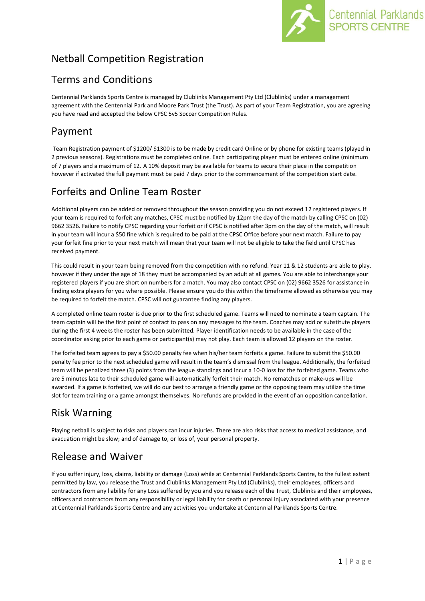

# Netball Competition Registration

# Terms and Conditions

Centennial Parklands Sports Centre is managed by Clublinks Management Pty Ltd (Clublinks) under a management agreement with the Centennial Park and Moore Park Trust (the Trust). As part of your Team Registration, you are agreeing you have read and accepted the below CPSC 5v5 Soccer Competition Rules.

# Payment

Team Registration payment of \$1200/ \$1300 is to be made by credit card Online or by phone for existing teams (played in 2 previous seasons). Registrations must be completed online. Each participating player must be entered online (minimum of 7 players and a maximum of 12. A 10% deposit may be available for teams to secure their place in the competition however if activated the full payment must be paid 7 days prior to the commencement of the competition start date.

# Forfeits and Online Team Roster

Additional players can be added or removed throughout the season providing you do not exceed 12 registered players. If your team is required to forfeit any matches, CPSC must be notified by 12pm the day of the match by calling CPSC on (02) 9662 3526. Failure to notify CPSC regarding your forfeit or if CPSC is notified after 3pm on the day of the match, will result in your team will incur a \$50 fine which is required to be paid at the CPSC Office before your next match. Failure to pay your forfeit fine prior to your next match will mean that your team will not be eligible to take the field until CPSC has received payment.

This could result in your team being removed from the competition with no refund. Year 11 & 12 students are able to play, however if they under the age of 18 they must be accompanied by an adult at all games. You are able to interchange your registered players if you are short on numbers for a match. You may also contact CPSC on (02) 9662 3526 for assistance in finding extra players for you where possible. Please ensure you do this within the timeframe allowed as otherwise you may be required to forfeit the match. CPSC will not guarantee finding any players.

A completed online team roster is due prior to the first scheduled game. Teams will need to nominate a team captain. The team captain will be the first point of contact to pass on any messages to the team. Coaches may add or substitute players during the first 4 weeks the roster has been submitted. Player identification needs to be available in the case of the coordinator asking prior to each game or participant(s) may not play. Each team is allowed 12 players on the roster.

The forfeited team agrees to pay a \$50.00 penalty fee when his/her team forfeits a game. Failure to submit the \$50.00 penalty fee prior to the next scheduled game will result in the team's dismissal from the league. Additionally, the forfeited team will be penalized three (3) points from the league standings and incur a 10-0 loss for the forfeited game. Teams who are 5 minutes late to their scheduled game will automatically forfeit their match. No rematches or make-ups will be awarded. If a game is forfeited, we will do our best to arrange a friendly game or the opposing team may utilize the time slot for team training or a game amongst themselves. No refunds are provided in the event of an opposition cancellation.

# Risk Warning

Playing netball is subject to risks and players can incur injuries. There are also risks that access to medical assistance, and evacuation might be slow; and of damage to, or loss of, your personal property.

## Release and Waiver

If you suffer injury, loss, claims, liability or damage (Loss) while at Centennial Parklands Sports Centre, to the fullest extent permitted by law, you release the Trust and Clublinks Management Pty Ltd (Clublinks), their employees, officers and contractors from any liability for any Loss suffered by you and you release each of the Trust, Clublinks and their employees, officers and contractors from any responsibility or legal liability for death or personal injury associated with your presence at Centennial Parklands Sports Centre and any activities you undertake at Centennial Parklands Sports Centre.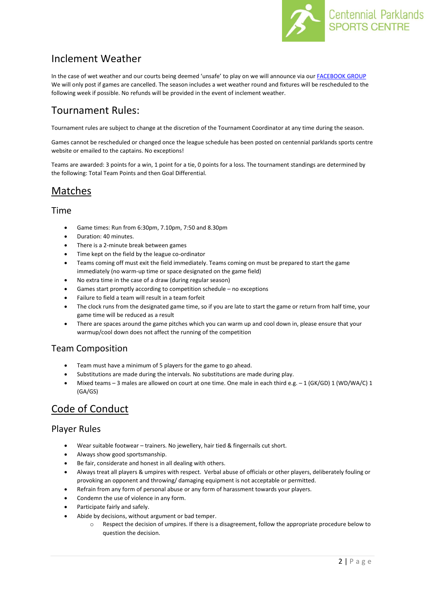

# Inclement Weather

In the case of wet weather and our courts being deemed 'unsafe' to play on we will announce via ou[r FACEBOOK GROUP](https://www.facebook.com/groups/3146644438743705/) We will only post if games are cancelled. The season includes a wet weather round and fixtures will be rescheduled to the following week if possible. No refunds will be provided in the event of inclement weather.

## Tournament Rules:

Tournament rules are subject to change at the discretion of the Tournament Coordinator at any time during the season.

Games cannot be rescheduled or changed once the league schedule has been posted on centennial parklands sports centre website or emailed to the captains. No exceptions!

Teams are awarded: 3 points for a win, 1 point for a tie, 0 points for a loss. The tournament standings are determined by the following: Total Team Points and then Goal Differential.

## Matches

#### Time

- Game times: Run from 6:30pm, 7.10pm, 7:50 and 8.30pm
- Duration: 40 minutes.
- There is a 2-minute break between games
- Time kept on the field by the league co-ordinator
- Teams coming off must exit the field immediately. Teams coming on must be prepared to start the game immediately (no warm-up time or space designated on the game field)
- No extra time in the case of a draw (during regular season)
- Games start promptly according to competition schedule no exceptions
- Failure to field a team will result in a team forfeit
- The clock runs from the designated game time, so if you are late to start the game or return from half time, your game time will be reduced as a result
- There are spaces around the game pitches which you can warm up and cool down in, please ensure that your warmup/cool down does not affect the running of the competition

### Team Composition

- Team must have a minimum of 5 players for the game to go ahead.
- Substitutions are made during the intervals. No substitutions are made during play.
- Mixed teams 3 males are allowed on court at one time. One male in each third e.g. 1 (GK/GD) 1 (WD/WA/C) 1 (GA/GS)

## Code of Conduct

### Player Rules

- Wear suitable footwear trainers. No jewellery, hair tied & fingernails cut short.
- Always show good sportsmanship.
- Be fair, considerate and honest in all dealing with others.
- Always treat all players & umpires with respect. Verbal abuse of officials or other players, deliberately fouling or provoking an opponent and throwing/ damaging equipment is not acceptable or permitted.
- Refrain from any form of personal abuse or any form of harassment towards your players.
- Condemn the use of violence in any form.
- Participate fairly and safely.
- Abide by decisions, without argument or bad temper.
	- o Respect the decision of umpires. If there is a disagreement, follow the appropriate procedure below to question the decision.